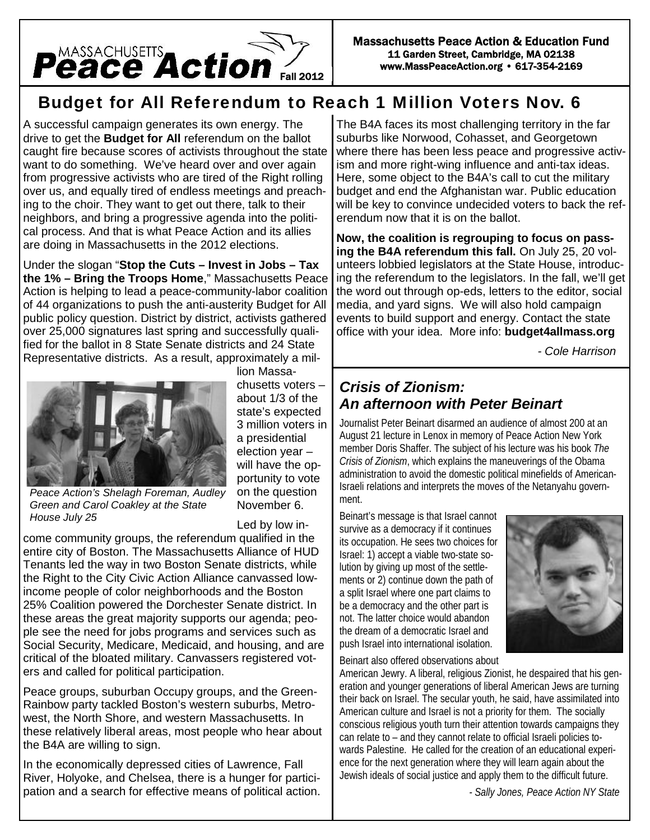

# **Budget for All Referendum to Reach 1 Million Voters Nov. 6**

A successful campaign generates its own energy. The drive to get the **Budget for All** referendum on the ballot caught fire because scores of activists throughout the state want to do something. We've heard over and over again from progressive activists who are tired of the Right rolling over us, and equally tired of endless meetings and preaching to the choir. They want to get out there, talk to their neighbors, and bring a progressive agenda into the political process. And that is what Peace Action and its allies are doing in Massachusetts in the 2012 elections.

Under the slogan "**Stop the Cuts – Invest in Jobs – Tax the 1% – Bring the Troops Home**," Massachusetts Peace Action is helping to lead a peace-community-labor coalition of 44 organizations to push the anti-austerity Budget for All public policy question. District by district, activists gathered over 25,000 signatures last spring and successfully qualified for the ballot in 8 State Senate districts and 24 State Representative districts. As a result, approximately a mil-



*Green and Carol Coakley at the State*

*House July 25*

lion Massa chusetts voters – about 1/3 of the state's expected 3 million voters in a presidential election year – will have the opportunity to vote on the question November 6.

Led by low in-

come community groups, the referendum qualified in the entire city of Boston. The Massachusetts Alliance of HUD Tenants led the way in two Boston Senate districts, while the Right to the City Civic Action Alliance canvassed lowincome people of color neighborhoods and the Boston 25% Coalition powered the Dorchester Senate district. In these areas the great majority supports our agenda; people see the need for jobs programs and services such as Social Security, Medicare, Medicaid, and housing, and are critical of the bloated military. Canvassers registered voters and called for political participation.

Peace groups, suburban Occupy groups, and the Green- Rainbow party tackled Boston's western suburbs, Metro west, the North Shore, and western Massachusetts. In these relatively liberal areas, most people who hear about the B4A are willing to sign.

In the economically depressed cities of Lawrence, Fall River, Holyoke, and Chelsea, there is a hunger for participation and a search for effective means of political action.

The B4A faces its most challenging territory in the far suburbs like Norwood, Cohasset, and Georgetown where there has been less peace and progressive activism and more right-wing influence and anti-tax ideas. Here, some object to the B4A's call to cut the military budget and end the Afghanistan war. Public education will be key to convince undecided voters to back the referendum now that it is on the ballot.

**Now, the coalition is regrouping to focus on passing the B4A referendum this fall.** On July 25, 20 volunteers lobbied legislators at the State House, introducing the referendum to the legislators. In the fall, we'll get the word out through op-eds, letters to the editor, social media, and yard signs. We will also hold campaign events to build support and energy. Contact the state office with your idea. More info: **budget4allmass.org**

*- Cole Harrison*

# *Crisis of Zionism: An afternoon with Peter Beinart*

Journalist Peter Beinart disarmed an audience of almost 200 at an August 21 lecture in Lenox in memory of Peace Action New York member Doris Shaffer. The subject of his lecture was his book *The Crisis of Zionism*, which explains the maneuverings of the Obama administration to avoid the domestic political minefields of American-Israeli relations and interprets the moves of the Netanyahu government.

Beinart's message is that Israel cannot survive as a democracy if it continues its occupation. He sees two choices for Israel: 1) accept a viable two-state solution by giving up most of the settlements or 2) continue down the path of a split Israel where one part claims to be a democracy and the other part is not. The latter choice would abandon the dream of a democratic Israel and push Israel into international isolation.



Beinart also offered observations about

American Jewry. A liberal, religious Zionist, he despaired that his generation and younger generations of liberal American Jews are turning their back on Israel. The secular youth, he said, have assimilated into American culture and Israel is not a priority for them. The socially conscious religious youth turn their attention towards campaigns they can relate to – and they cannot relate to official Israeli policies towards Palestine. He called for the creation of an educational experience for the next generation where they will learn again about the Jewish ideals of social justice and apply them to the difficult future.

*- Sally Jones, Peace Action NY State*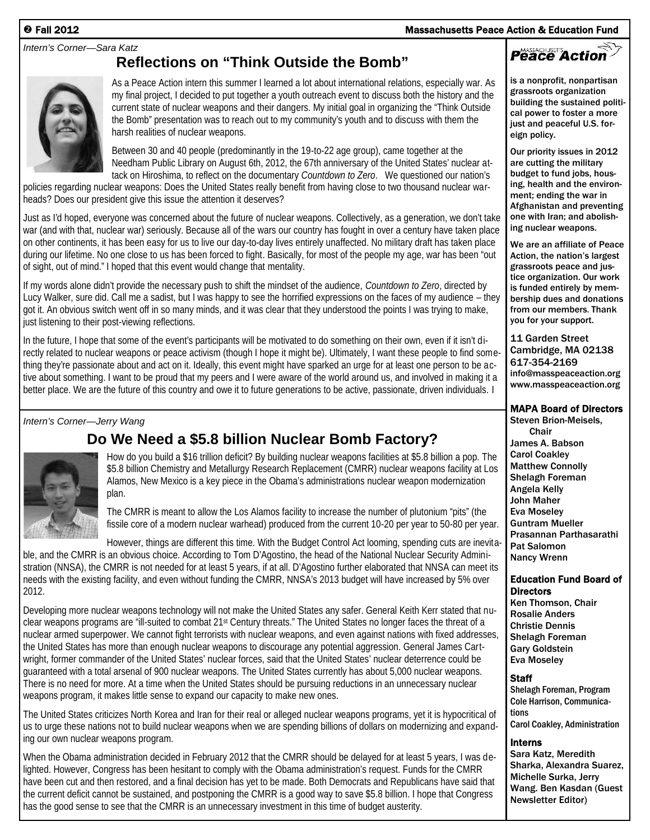## *Intern's Corner—Sara Katz*

# **Reflections on "Think Outside the Bomb"**



As a Peace Action intern this summer I learned a lot about international relations, especially war. As my final project, I decided to put together a youth outreach event to discuss both the history and the current state of nuclear weapons and their dangers. My initial goal in organizing the "Think Outside the Bomb" presentation was to reach out to my community's youth and to discuss with them the harsh realities of nuclear weapons.

Between 30 and 40 people (predominantly in the 19-to-22 age group), came together at the Needham Public Library on August 6th, 2012, the 67th anniversary of the United States' nuclear attack on Hiroshima, to reflect on the documentary *Countdown to Zero*. We questioned our nation's

policies regarding nuclear weapons: Does the United States really benefit from having close to two thousand nuclear warheads? Does our president give this issue the attention it deserves?

Just as I'd hoped, everyone was concerned about the future of nuclear weapons. Collectively, as a generation, we don't take war (and with that, nuclear war) seriously. Because all of the wars our country has fought in over a century have taken place on other continents, it has been easy for us to live our day-to-day lives entirely unaffected. No military draft has taken place during our lifetime. No one close to us has been forced to fight. Basically, for most of the people my age, war has been "out of sight, out of mind." I hoped that this event would change that mentality.

If my words alone didn't provide the necessary push to shift the mindset of the audience, *Countdown to Zero*, directed by Lucy Walker, sure did. Call me a sadist, but I was happy to see the horrified expressions on the faces of my audience – they got it. An obvious switch went off in so many minds, and it was clear that they understood the points I was trying to make, just listening to their post-viewing reflections.

In the future, I hope that some of the event's participants will be motivated to do something on their own, even if it isn't directly related to nuclear weapons or peace activism (though I hope it might be). Ultimately, I want these people to find something they're passionate about and act on it. Ideally, this event might have sparked an urge for at least one person to be active about something. I want to be proud that my peers and I were aware of the world around us, and involved in making it a better place. We are the future of this country and owe it to future generations to be active, passionate, driven individuals. I

## *Intern's Corner—Jerry Wang*



**Do We Need a \$5.8 billion Nuclear Bomb Factory?**

How do you build a \$16 trillion deficit? By building nuclear weapons facilities at \$5.8 billion a pop. The \$5.8 billion Chemistry and Metallurgy Research Replacement (CMRR) nuclear weapons facility at Los Alamos, New Mexico is a key piece in the Obama's administrations nuclear weapon modernization plan.

The CMRR is meant to allow the Los Alamos facility to increase the number of plutonium "pits" (the fissile core of a modern nuclear warhead) produced from the current 10-20 per year to 50-80 per year.

However, things are different this time. With the Budget Control Act looming, spending cuts are inevitable, and the CMRR is an obvious choice. According to Tom D'Agostino, the head of the National Nuclear Security Administration (NNSA), the CMRR is not needed for at least 5 years, if at all. D'Agostino further elaborated that NNSA can meet its needs with the existing facility, and even without funding the CMRR, NNSA's 2013 budget will have increased by 5% over 2012.

Developing more nuclear weapons technology will not make the United States any safer. General Keith Kerr stated that nuclear weapons programs are "ill-suited to combat 21st Century threats." The United States no longer faces the threat of a nuclear armed superpower. We cannot fight terrorists with nuclear weapons, and even against nations with fixed addresses, the United States has more than enough nuclear weapons to discourage any potential aggression. General James Cartwright, former commander of the United States' nuclear forces, said that the United States' nuclear deterrence could be guaranteed with a total arsenal of 900 nuclear weapons. The United States currently has about 5,000 nuclear weapons. There is no need for more. At a time when the United States should be pursuing reductions in an unnecessary nuclear weapons program, it makes little sense to expand our capacity to make new ones.

The United States criticizes North Korea and Iran for their real or alleged nuclear weapons programs, yet it is hypocritical of us to urge these nations not to build nuclear weapons when we are spending billions of dollars on modernizing and expanding our own nuclear weapons program.

When the Obama administration decided in February 2012 that the CMRR should be delayed for at least 5 years, I was delighted. However, Congress has been hesitant to comply with the Obama administration's request. Funds for the CMRR have been cut and then restored, and a final decision has yet to be made. Both Democrats and Republicans have said that the current deficit cannot be sustained, and postponing the CMRR is a good way to save \$5.8 billion. I hope that Congress has the good sense to see that the CMRR is an unnecessary investment in this time of budget austerity.

# **Fall 2012 Massachusetts Peace Action & Education Fund**

# Peace Action

is a nonprofit, nonpartisan grassroots organization building the sustained political power to foster a more just and peaceful U.S. foreign policy.

Our priority issues in 2012 are cutting the military budget to fund jobs, housing, health and the environment; ending the war in Afghanistan and preventing one with Iran; and abolishing nuclear weapons.

We are an affiliate of Peace Action, the nation's largest grassroots peace and justice organization. Our work is funded entirely by membership dues and donations from our members. Thank you for your support.

11 Garden Street Cambridge, MA 02138 617-354-2169 info@masspeaceaction.org www.masspeaceaction.org

## **MAPA Board of Directors**

Steven Brion-Meisels, Chair James A. Babson Carol Coakley Matthew Connolly Shelagh Foreman Angela Kelly John Maher Eva Moseley Guntram Mueller Prasannan Parthasarathi Pat Salomon Nancy Wrenn

### **Education Fund Board of Directors**

Ken Thomson, Chair Rosalie Anders Christie Dennis Shelagh Foreman Gary Goldstein Eva Moseley

## **Staff**

Shelagh Foreman, Program Cole Harrison, Communications Carol Coakley, Administration

### **Interns**

Sara Katz, Meredith Sharka, Alexandra Suarez, Michelle Surka, Jerry Wang. Ben Kasdan (Guest Newsletter Editor)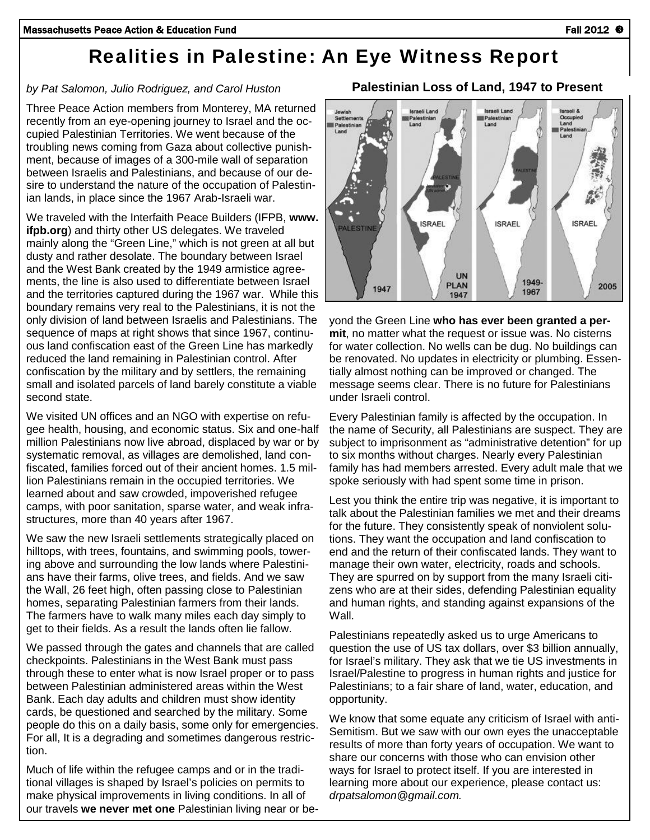# **Realities in Palestine: An Eye Witness Report**

## *by Pat Salomon, Julio Rodriguez, and Carol Huston*

Three Peace Action members from Monterey, MA returned recently from an eye-opening journey to Israel and the occupied Palestinian Territories. We went because of the troubling news coming from Gaza about collective punishment, because of images of a 300-mile wall of separation between Israelis and Palestinians, and because of our desire to understand the nature of the occupation of Palestinian lands, in place since the 1967 Arab-Israeli war.

We traveled with the Interfaith Peace Builders (IFPB, **www. ifpb.org**) and thirty other US delegates. We traveled mainly along the "Green Line," which is not green at all but dusty and rather desolate. The boundary between Israel and the West Bank created by the 1949 armistice agreements, the line is also used to differentiate between Israel and the territories captured during the 1967 war. While this boundary remains very real to the Palestinians, it is not the only division of land between Israelis and Palestinians. The sequence of maps at right shows that since 1967, continuous land confiscation east of the Green Line has markedly reduced the land remaining in Palestinian control. After confiscation by the military and by settlers, the remaining small and isolated parcels of land barely constitute a viable second state.

We visited UN offices and an NGO with expertise on refugee health, housing, and economic status. Six and one-half million Palestinians now live abroad, displaced by war or by systematic removal, as villages are demolished, land confiscated, families forced out of their ancient homes. 1.5 million Palestinians remain in the occupied territories. We learned about and saw crowded, impoverished refugee camps, with poor sanitation, sparse water, and weak infrastructures, more than 40 years after 1967.

We saw the new Israeli settlements strategically placed on hilltops, with trees, fountains, and swimming pools, towering above and surrounding the low lands where Palestinians have their farms, olive trees, and fields. And we saw the Wall, 26 feet high, often passing close to Palestinian homes, separating Palestinian farmers from their lands. The farmers have to walk many miles each day simply to get to their fields. As a result the lands often lie fallow.

We passed through the gates and channels that are called checkpoints. Palestinians in the West Bank must pass through these to enter what is now Israel proper or to pass between Palestinian administered areas within the West Bank. Each day adults and children must show identity cards, be questioned and searched by the military. Some people do this on a daily basis, some only for emergencies. For all, It is a degrading and sometimes dangerous restriction.

Much of life within the refugee camps and or in the traditional villages is shaped by Israel's policies on permits to make physical improvements in living conditions. In all of our travels **we never met one** Palestinian living near or be-

**Palestinian Loss of Land, 1947 to Present**

Palestinian Palestinian Palestini Land Land **ISRAEL ISRAEL ISRAEL ALESTINE UN** 1949 PLAN 2005 1947 1967 1947 yond the Green Line **who has ever been granted a permit**, no matter what the request or issue was. No cisterns for water collection. No wells can be dug. No buildings can

be renovated. No updates in electricity or plumbing. Essentially almost nothing can be improved or changed. The message seems clear. There is no future for Palestinians under Israeli control.

Every Palestinian family is affected by the occupation. In the name of Security, all Palestinians are suspect. They are subject to imprisonment as "administrative detention" for up to six months without charges. Nearly every Palestinian family has had members arrested. Every adult male that we spoke seriously with had spent some time in prison.

Lest you think the entire trip was negative, it is important to talk about the Palestinian families we met and their dreams for the future. They consistently speak of nonviolent solutions. They want the occupation and land confiscation to end and the return of their confiscated lands. They want to manage their own water, electricity, roads and schools. They are spurred on by support from the many Israeli citizens who are at their sides, defending Palestinian equality and human rights, and standing against expansions of the Wall.

Palestinians repeatedly asked us to urge Americans to question the use of US tax dollars, over \$3 billion annually, for Israel's military. They ask that we tie US investments in Israel/Palestine to progress in human rights and justice for Palestinians; to a fair share of land, water, education, and opportunity.

We know that some equate any criticism of Israel with anti- Semitism. But we saw with our own eyes the unacceptable results of more than forty years of occupation. We want to share our concerns with those who can envision other ways for Israel to protect itself. If you are interested in learning more about our experience, please contact us: *drpatsalomon@gmail.com.*